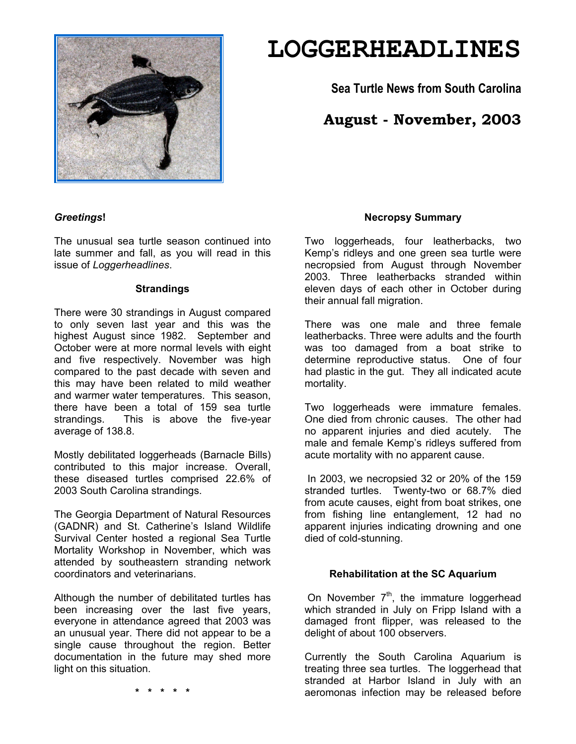

# **LOGGERHEADLINES**

**Sea Turtle News from South Carolina** 

# **August - November, 2003**

# *Greetings***!**

The unusual sea turtle season continued into late summer and fall, as you will read in this issue of *Loggerheadlines*.

#### **Strandings**

There were 30 strandings in August compared to only seven last year and this was the highest August since 1982. September and October were at more normal levels with eight and five respectively. November was high compared to the past decade with seven and this may have been related to mild weather and warmer water temperatures. This season, there have been a total of 159 sea turtle strandings. This is above the five-year average of 138.8.

Mostly debilitated loggerheads (Barnacle Bills) contributed to this major increase. Overall, these diseased turtles comprised 22.6% of 2003 South Carolina strandings.

The Georgia Department of Natural Resources (GADNR) and St. Catherine's Island Wildlife Survival Center hosted a regional Sea Turtle Mortality Workshop in November, which was attended by southeastern stranding network coordinators and veterinarians.

Although the number of debilitated turtles has been increasing over the last five years, everyone in attendance agreed that 2003 was an unusual year. There did not appear to be a single cause throughout the region. Better documentation in the future may shed more light on this situation.

**Necropsy Summary**

Two loggerheads, four leatherbacks, two Kemp's ridleys and one green sea turtle were necropsied from August through November 2003. Three leatherbacks stranded within eleven days of each other in October during their annual fall migration.

There was one male and three female leatherbacks. Three were adults and the fourth was too damaged from a boat strike to determine reproductive status. One of four had plastic in the gut. They all indicated acute mortality.

Two loggerheads were immature females. One died from chronic causes. The other had no apparent injuries and died acutely. The male and female Kemp's ridleys suffered from acute mortality with no apparent cause.

 In 2003, we necropsied 32 or 20% of the 159 stranded turtles. Twenty-two or 68.7% died from acute causes, eight from boat strikes, one from fishing line entanglement, 12 had no apparent injuries indicating drowning and one died of cold-stunning.

# **Rehabilitation at the SC Aquarium**

On November  $7<sup>th</sup>$ , the immature loggerhead which stranded in July on Fripp Island with a damaged front flipper, was released to the delight of about 100 observers.

Currently the South Carolina Aquarium is treating three sea turtles. The loggerhead that stranded at Harbor Island in July with an aeromonas infection may be released before

**\* \* \* \* \***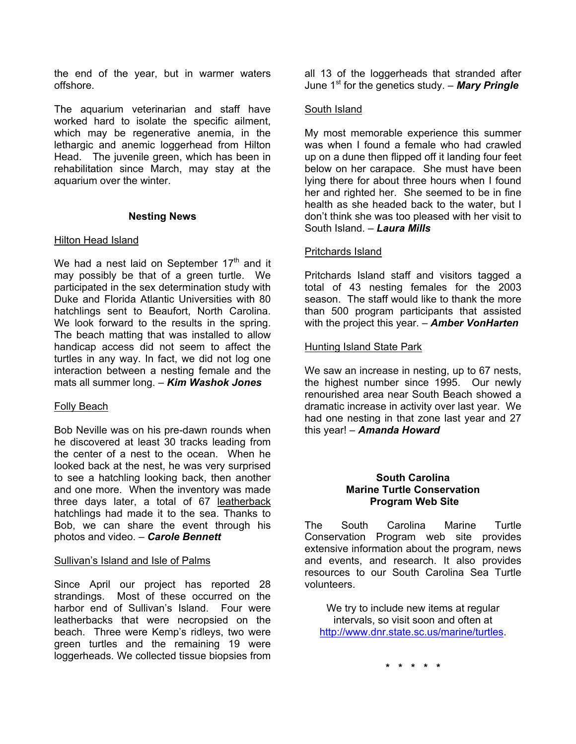the end of the year, but in warmer waters offshore.

The aquarium veterinarian and staff have worked hard to isolate the specific ailment, which may be regenerative anemia, in the lethargic and anemic loggerhead from Hilton Head. The juvenile green, which has been in rehabilitation since March, may stay at the aquarium over the winter.

#### **Nesting News**

#### **Hilton Head Island**

We had a nest laid on September  $17<sup>th</sup>$  and it may possibly be that of a green turtle. We participated in the sex determination study with Duke and Florida Atlantic Universities with 80 hatchlings sent to Beaufort, North Carolina. We look forward to the results in the spring. The beach matting that was installed to allow handicap access did not seem to affect the turtles in any way. In fact, we did not log one interaction between a nesting female and the mats all summer long. – *Kim Washok Jones* 

# Folly Beach

Bob Neville was on his pre-dawn rounds when he discovered at least 30 tracks leading from the center of a nest to the ocean. When he looked back at the nest, he was very surprised to see a hatchling looking back, then another and one more. When the inventory was made three days later, a total of 67 leatherback hatchlings had made it to the sea. Thanks to Bob, we can share the event through his photos and video. – *Carole Bennett*

#### Sullivan's Island and Isle of Palms

Since April our project has reported 28 strandings. Most of these occurred on the harbor end of Sullivan's Island. Four were leatherbacks that were necropsied on the beach. Three were Kemp's ridleys, two were green turtles and the remaining 19 were loggerheads. We collected tissue biopsies from

all 13 of the loggerheads that stranded after June 1<sup>st</sup> for the genetics study. – **Mary Pringle** 

# South Island

My most memorable experience this summer was when I found a female who had crawled up on a dune then flipped off it landing four feet below on her carapace. She must have been lying there for about three hours when I found her and righted her. She seemed to be in fine health as she headed back to the water, but I don't think she was too pleased with her visit to South Island. – *Laura Mills*

# Pritchards Island

Pritchards Island staff and visitors tagged a total of 43 nesting females for the 2003 season. The staff would like to thank the more than 500 program participants that assisted with the project this year. – *Amber VonHarten*

# Hunting Island State Park

We saw an increase in nesting, up to 67 nests, the highest number since 1995. Our newly renourished area near South Beach showed a dramatic increase in activity over last year. We had one nesting in that zone last year and 27 this year! – *Amanda Howard* 

#### **South Carolina Marine Turtle Conservation Program Web Site**

The South Carolina Marine Turtle Conservation Program web site provides extensive information about the program, news and events, and research. It also provides resources to our South Carolina Sea Turtle volunteers.

We try to include new items at regular intervals, so visit soon and often at http://www.dnr.state.sc.us/marine/turtles.

**\* \* \* \* \***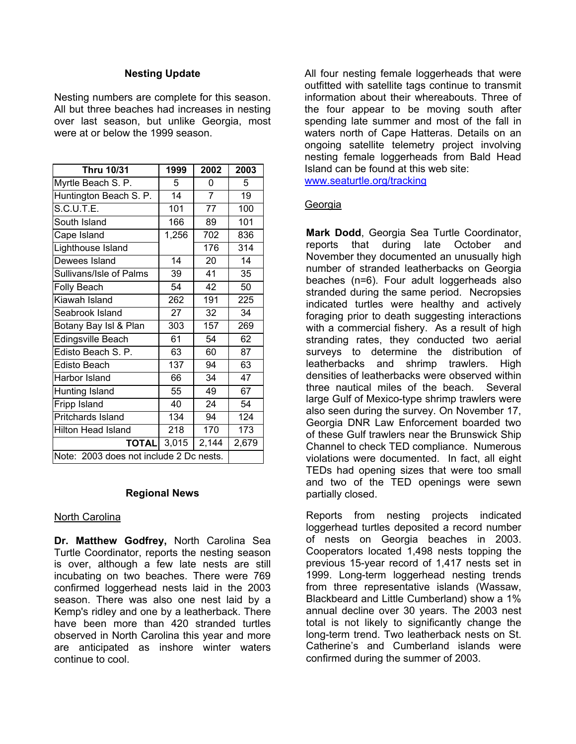#### **Nesting Update**

Nesting numbers are complete for this season. All but three beaches had increases in nesting over last season, but unlike Georgia, most were at or below the 1999 season.

| <b>Thru 10/31</b>                       | 1999  | 2002  | 2003  |
|-----------------------------------------|-------|-------|-------|
| Myrtle Beach S. P.                      | 5     | O     | 5     |
| Huntington Beach S. P.                  | 14    | 7     | 19    |
| S.C.U.T.E.                              | 101   | 77    | 100   |
| South Island                            | 166   | 89    | 101   |
| Cape Island                             | 1,256 | 702   | 836   |
| Lighthouse Island                       |       | 176   | 314   |
| Dewees Island                           | 14    | 20    | 14    |
| Sullivans/Isle of Palms                 | 39    | 41    | 35    |
| <b>Folly Beach</b>                      | 54    | 42    | 50    |
| Kiawah Island                           | 262   | 191   | 225   |
| Seabrook Island                         | 27    | 32    | 34    |
| Botany Bay Isl & Plan                   | 303   | 157   | 269   |
| Edingsville Beach                       | 61    | 54    | 62    |
| Edisto Beach S. P.                      | 63    | 60    | 87    |
| Edisto Beach                            | 137   | 94    | 63    |
| Harbor Island                           | 66    | 34    | 47    |
| Hunting Island                          | 55    | 49    | 67    |
| Fripp Island                            | 40    | 24    | 54    |
| Pritchards Island                       | 134   | 94    | 124   |
| <b>Hilton Head Island</b>               | 218   | 170   | 173   |
| <b>TOTAL</b>                            | 3,015 | 2,144 | 2,679 |
| Note: 2003 does not include 2 Dc nests. |       |       |       |

#### **Regional News**

# North Carolina

**Dr. Matthew Godfrey,** North Carolina Sea Turtle Coordinator, reports the nesting season is over, although a few late nests are still incubating on two beaches. There were 769 confirmed loggerhead nests laid in the 2003 season. There was also one nest laid by a Kemp's ridley and one by a leatherback. There have been more than 420 stranded turtles observed in North Carolina this year and more are anticipated as inshore winter waters continue to cool.

All four nesting female loggerheads that were outfitted with satellite tags continue to transmit information about their whereabouts. Three of the four appear to be moving south after spending late summer and most of the fall in waters north of Cape Hatteras. Details on an ongoing satellite telemetry project involving nesting female loggerheads from Bald Head Island can be found at this web site: www.seaturtle.org/tracking

# Georgia

**Mark Dodd**, Georgia Sea Turtle Coordinator, reports that during late October and November they documented an unusually high number of stranded leatherbacks on Georgia beaches (n=6). Four adult loggerheads also stranded during the same period. Necropsies indicated turtles were healthy and actively foraging prior to death suggesting interactions with a commercial fishery. As a result of high stranding rates, they conducted two aerial surveys to determine the distribution of leatherbacks and shrimp trawlers. High densities of leatherbacks were observed within three nautical miles of the beach. Several large Gulf of Mexico-type shrimp trawlers were also seen during the survey. On November 17, Georgia DNR Law Enforcement boarded two of these Gulf trawlers near the Brunswick Ship Channel to check TED compliance. Numerous violations were documented. In fact, all eight TEDs had opening sizes that were too small and two of the TED openings were sewn partially closed.

Reports from nesting projects indicated loggerhead turtles deposited a record number of nests on Georgia beaches in 2003. Cooperators located 1,498 nests topping the previous 15-year record of 1,417 nests set in 1999. Long-term loggerhead nesting trends from three representative islands (Wassaw, Blackbeard and Little Cumberland) show a 1% annual decline over 30 years. The 2003 nest total is not likely to significantly change the long-term trend. Two leatherback nests on St. Catherine's and Cumberland islands were confirmed during the summer of 2003.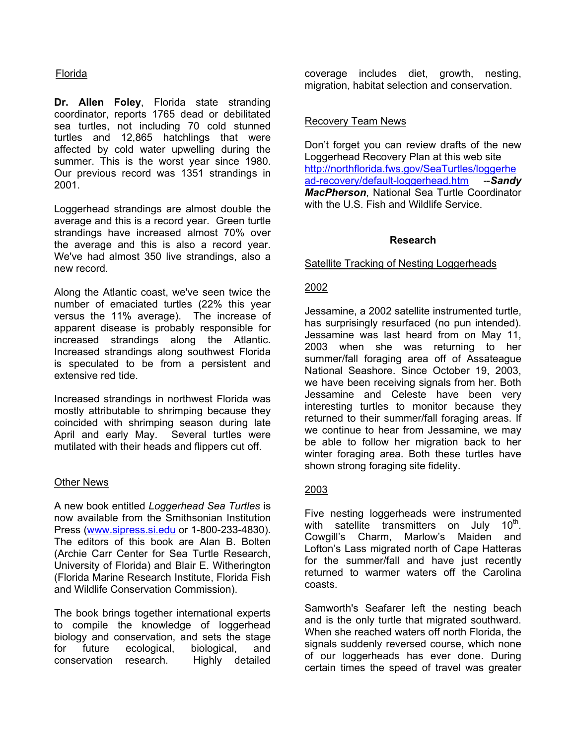# Florida

**Dr. Allen Foley**, Florida state stranding coordinator, reports 1765 dead or debilitated sea turtles, not including 70 cold stunned turtles and 12,865 hatchlings that were affected by cold water upwelling during the summer. This is the worst year since 1980. Our previous record was 1351 strandings in 2001.

Loggerhead strandings are almost double the average and this is a record year. Green turtle strandings have increased almost 70% over the average and this is also a record year. We've had almost 350 live strandings, also a new record.

Along the Atlantic coast, we've seen twice the number of emaciated turtles (22% this year versus the 11% average). The increase of apparent disease is probably responsible for increased strandings along the Atlantic. Increased strandings along southwest Florida is speculated to be from a persistent and extensive red tide.

Increased strandings in northwest Florida was mostly attributable to shrimping because they coincided with shrimping season during late April and early May. Several turtles were mutilated with their heads and flippers cut off.

#### Other News

A new book entitled *Loggerhead Sea Turtles* is now available from the Smithsonian Institution Press (www.sipress.si.edu or 1-800-233-4830). The editors of this book are Alan B. Bolten (Archie Carr Center for Sea Turtle Research, University of Florida) and Blair E. Witherington (Florida Marine Research Institute, Florida Fish and Wildlife Conservation Commission).

The book brings together international experts to compile the knowledge of loggerhead biology and conservation, and sets the stage for future ecological, biological, and conservation research. Highly detailed

coverage includes diet, growth, nesting, migration, habitat selection and conservation.

#### Recovery Team News

Don't forget you can review drafts of the new Loggerhead Recovery Plan at this web site http://northflorida.fws.gov/SeaTurtles/loggerhe ad-recovery/default-loggerhead.htm --*Sandy MacPherson*, National Sea Turtle Coordinator with the U.S. Fish and Wildlife Service.

# **Research**

Satellite Tracking of Nesting Loggerheads

# 2002

Jessamine, a 2002 satellite instrumented turtle, has surprisingly resurfaced (no pun intended). Jessamine was last heard from on May 11, 2003 when she was returning to her summer/fall foraging area off of Assateague National Seashore. Since October 19, 2003, we have been receiving signals from her. Both Jessamine and Celeste have been very interesting turtles to monitor because they returned to their summer/fall foraging areas. If we continue to hear from Jessamine, we may be able to follow her migration back to her winter foraging area. Both these turtles have shown strong foraging site fidelity.

# 2003

Five nesting loggerheads were instrumented with satellite transmitters on July  $10^{th}$ . Cowgill's Charm, Marlow's Maiden and Lofton's Lass migrated north of Cape Hatteras for the summer/fall and have just recently returned to warmer waters off the Carolina coasts.

Samworth's Seafarer left the nesting beach and is the only turtle that migrated southward. When she reached waters off north Florida, the signals suddenly reversed course, which none of our loggerheads has ever done. During certain times the speed of travel was greater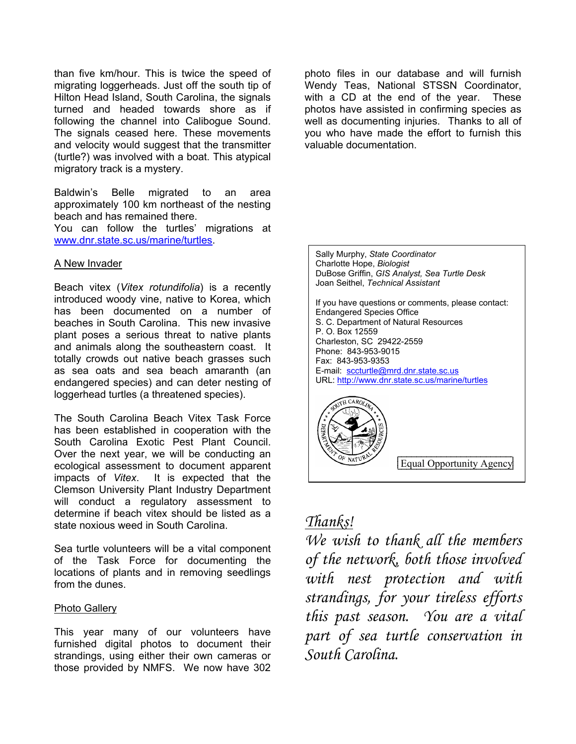than five km/hour. This is twice the speed of migrating loggerheads. Just off the south tip of Hilton Head Island, South Carolina, the signals turned and headed towards shore as if following the channel into Calibogue Sound. The signals ceased here. These movements and velocity would suggest that the transmitter (turtle?) was involved with a boat. This atypical migratory track is a mystery.

Baldwin's Belle migrated to an area approximately 100 km northeast of the nesting beach and has remained there.

You can follow the turtles' migrations at www.dnr.state.sc.us/marine/turtles.

#### A New Invader

Beach vitex (*Vitex rotundifolia*) is a recently introduced woody vine, native to Korea, which has been documented on a number of beaches in South Carolina. This new invasive plant poses a serious threat to native plants and animals along the southeastern coast. It totally crowds out native beach grasses such as sea oats and sea beach amaranth (an endangered species) and can deter nesting of loggerhead turtles (a threatened species).

The South Carolina Beach Vitex Task Force has been established in cooperation with the South Carolina Exotic Pest Plant Council. Over the next year, we will be conducting an ecological assessment to document apparent impacts of *Vitex*. It is expected that the Clemson University Plant Industry Department will conduct a regulatory assessment to determine if beach vitex should be listed as a state noxious weed in South Carolina.

Sea turtle volunteers will be a vital component of the Task Force for documenting the locations of plants and in removing seedlings from the dunes.

#### Photo Gallery

This year many of our volunteers have furnished digital photos to document their strandings, using either their own cameras or those provided by NMFS. We now have 302

photo files in our database and will furnish Wendy Teas, National STSSN Coordinator, with a CD at the end of the year. These photos have assisted in confirming species as well as documenting injuries. Thanks to all of you who have made the effort to furnish this valuable documentation.

Sally Murphy, *State Coordinator*  Charlotte Hope, *Biologist* DuBose Griffin, *GIS Analyst, Sea Turtle Desk*  Joan Seithel, *Technical Assistant*

If you have questions or comments, please contact: Endangered Species Office S. C. Department of Natural Resources P. O. Box 12559 Charleston, SC 29422-2559 Phone: 843-953-9015 Fax: 843-953-9353 E-mail: sccturtle@mrd.dnr.state.sc.us URL: http://www.dnr.state.sc.us/marine/turtles



# *Thanks!*

*We wish to thank all the members of the network, both those involved with nest protection and with strandings, for your tireless efforts this past season. You are a vital part of sea turtle conservation in South Carolina.*